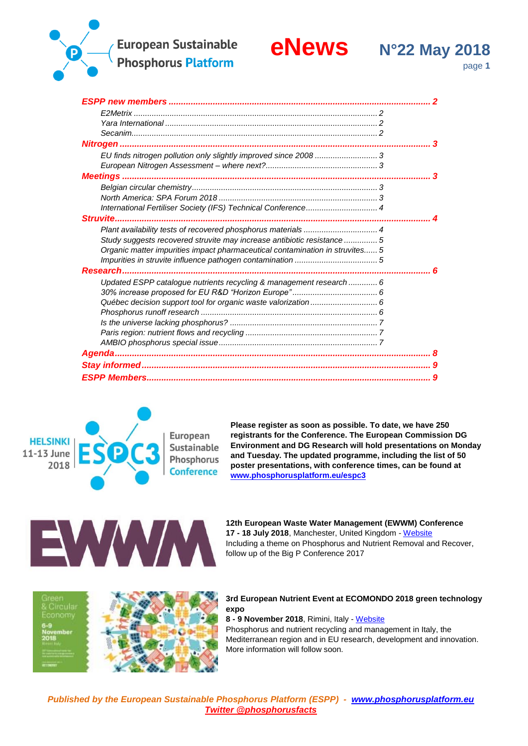# **European Sustainable**



**Phosphorus Platform** 

page **1**

*ESPP new members [...........................................................................................................](#page-1-0) 2 E2Metrix [.............................................................................................................](#page-1-1) 2 Yara International [...............................................................................................](#page-1-2) 2 [Secanim..............................................................................................................](#page-1-3) 2 Nitrogen [...............................................................................................................................](#page-2-0) 3 [EU finds nitrogen pollution only slightly improved since 2008](#page-2-1) ............................ 3 European Nitrogen Assessment – [where next?..................................................](#page-2-2) 3 Meetings [..............................................................................................................................](#page-2-3) 3 [Belgian circular chemistry...................................................................................](#page-2-4) 3 North America: SPA Forum 2018 [.......................................................................](#page-2-5) 3 [International Fertiliser Society \(IFS\) Technical Conference................................](#page-3-0) 4 [Struvite.................................................................................................................................](#page-3-1) 4 [Plant availability tests of recovered phosphorus materials](#page-3-2) ................................. 4 [Study suggests recovered struvite may increase antibiotic resistance](#page-4-0) ............... 5 [Organic matter impurities impact pharmaceutical contamination in struvites......](#page-4-1) 5 [Impurities in struvite influence pathogen contamination](#page-4-2) ..................................... 5 [Research..............................................................................................................................](#page-5-0) 6 [Updated ESPP catalogue nutrients recycling & management research](#page-5-1) ............. 6 [30% increase proposed for EU R&D "Horizon Europe"](#page-5-2) ...................................... 6 [Québec decision support tool for organic waste valorization](#page-5-3) .............................. 6 Phosphorus runoff research [...............................................................................](#page-5-4) 6 Is the universe lacking phosphorus? [..................................................................](#page-6-0) 7 [Paris region: nutrient flows and recycling](#page-6-1) ........................................................... 7 [AMBIO phosphorus special issue.......................................................................](#page-6-2) 7 [Agenda.................................................................................................................................](#page-7-0) 8 [Stay informed......................................................................................................................](#page-8-0) 9 [ESPP Members....................................................................................................................](#page-8-1) 9*



**Please register as soon as possible. To date, we have 250 registrants for the Conference. The European Commission DG Environment and DG Research will hold presentations on Monday and Tuesday. The updated programme, including the list of 50 poster presentations, with conference times, can be found at [www.phosphorusplatform.eu/espc3](http://www.phosphorusplatform.eu/espc3)**



**12th European Waste Water Management (EWWM) Conference 17 - 18 July 2018**, Manchester, United Kingdom - [Website](http://www.ewwmconference.com/) Including a theme on Phosphorus and Nutrient Removal and Recover, follow up of the Big P Conference 2017





### **3rd European Nutrient Event at ECOMONDO 2018 green technology expo**

**8 - 9 November 2018**, Rimini, Italy - [Website](http://www.smart-plant.eu/ENE3)

Phosphorus and nutrient recycling and management in Italy, the Mediterranean region and in EU research, development and innovation. More information will follow soon.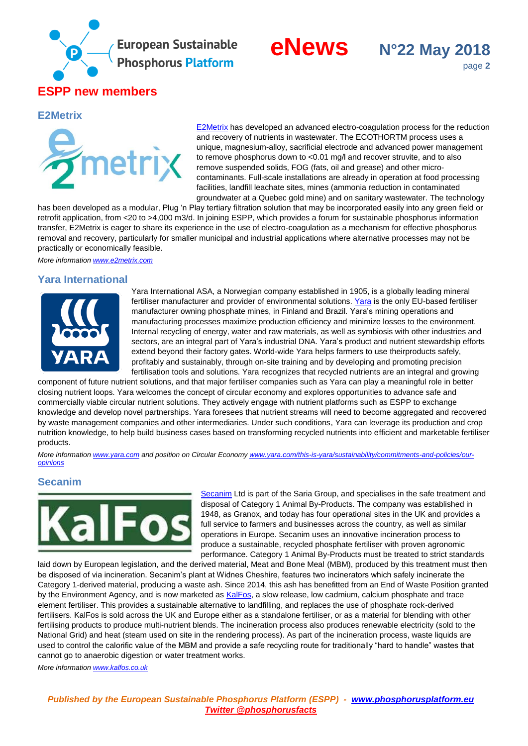

# **eNews N°22 May 2018**



### <span id="page-1-1"></span><span id="page-1-0"></span>**E2Metrix**



[E2Metrix](http://www.e2metrix.com/) has developed an advanced electro-coagulation process for the reduction and recovery of nutrients in wastewater. The ECOTHORTM process uses a unique, magnesium-alloy, sacrificial electrode and advanced power management to remove phosphorus down to <0.01 mg/l and recover struvite, and to also remove suspended solids, FOG (fats, oil and grease) and other microcontaminants. Full-scale installations are already in operation at food processing facilities, landfill leachate sites, mines (ammonia reduction in contaminated groundwater at a Quebec gold mine) and on sanitary wastewater. The technology

has been developed as a modular, Plug 'n Play tertiary filtration solution that may be incorporated easily into any green field or retrofit application, from <20 to >4,000 m3/d. In joining ESPP, which provides a forum for sustainable phosphorus information transfer, E2Metrix is eager to share its experience in the use of electro-coagulation as a mechanism for effective phosphorus removal and recovery, particularly for smaller municipal and industrial applications where alternative processes may not be practically or economically feasible.

<span id="page-1-2"></span>*More information [www.e2metrix.com](http://www.e2metrix.com/)*

# **Yara International**



Yara International ASA, a Norwegian company established in 1905, is a globally leading mineral fertiliser manufacturer and provider of environmental solutions. [Yara](http://www.yara.com/) is the only EU-based fertiliser manufacturer owning phosphate mines, in Finland and Brazil. Yara's mining operations and manufacturing processes maximize production efficiency and minimize losses to the environment. Internal recycling of energy, water and raw materials, as well as symbiosis with other industries and sectors, are an integral part of Yara's industrial DNA. Yara's product and nutrient stewardship efforts extend beyond their factory gates. World-wide Yara helps farmers to use theirproducts safely, profitably and sustainably, through on-site training and by developing and promoting precision fertilisation tools and solutions. Yara recognizes that recycled nutrients are an integral and growing

component of future nutrient solutions, and that major fertiliser companies such as Yara can play a meaningful role in better closing nutrient loops. Yara welcomes the concept of circular economy and explores opportunities to advance safe and commercially viable circular nutrient solutions. They actively engage with nutrient platforms such as ESPP to exchange knowledge and develop novel partnerships. Yara foresees that nutrient streams will need to become aggregated and recovered by waste management companies and other intermediaries. Under such conditions, Yara can leverage its production and crop nutrition knowledge, to help build business cases based on transforming recycled nutrients into efficient and marketable fertiliser products.

*More information [www.yara.com](http://www.yara.com/) and position on Circular Econom[y www.yara.com/this-is-yara/sustainability/commitments-and-policies/our](https://www.yara.com/this-is-yara/sustainability/commitments-and-policies/our-opinions)[opinions](https://www.yara.com/this-is-yara/sustainability/commitments-and-policies/our-opinions)*

# <span id="page-1-3"></span>**Secanim**



[Secanim](http://www.saria.de/en/sr/the-company/company-structure/secanim/) Ltd is part of the Saria Group, and specialises in the safe treatment and disposal of Category 1 Animal By-Products. The company was established in 1948, as Granox, and today has four operational sites in the UK and provides a full service to farmers and businesses across the country, as well as similar operations in Europe. Secanim uses an innovative incineration process to produce a sustainable, recycled phosphate fertiliser with proven agronomic performance. Category 1 Animal By-Products must be treated to strict standards

laid down by European legislation, and the derived material, Meat and Bone Meal (MBM), produced by this treatment must then be disposed of via incineration. Secanim's plant at Widnes Cheshire, features two incinerators which safely incinerate the Category 1-derived material, producing a waste ash. Since 2014, this ash has benefitted from an End of Waste Position granted by the Environment Agency, and is now marketed as [KalFos,](http://www.kalfos.co.uk/) a slow release, low cadmium, calcium phosphate and trace element fertiliser. This provides a sustainable alternative to landfilling, and replaces the use of phosphate rock-derived fertilisers. KalFos is sold across the UK and Europe either as a standalone fertiliser, or as a material for blending with other fertilising products to produce multi-nutrient blends. The incineration process also produces renewable electricity (sold to the National Grid) and heat (steam used on site in the rendering process). As part of the incineration process, waste liquids are used to control the calorific value of the MBM and provide a safe recycling route for traditionally "hard to handle" wastes that cannot go to anaerobic digestion or water treatment works.

*More information [www.kalfos.co.uk](http://www.kalfos.co.uk/)*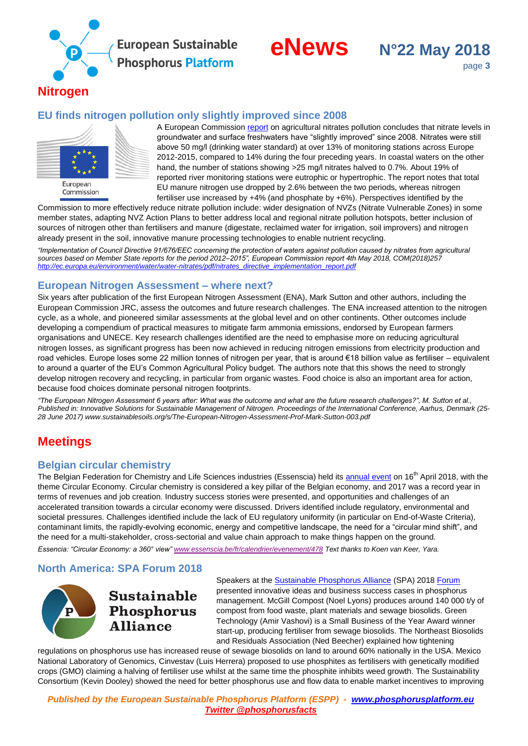



# <span id="page-2-1"></span><span id="page-2-0"></span>**EU finds nitrogen pollution only slightly improved since 2008**



A European Commission [report](http://ec.europa.eu/environment/water/water-nitrates/pdf/nitrates_directive_implementation_report.pdf) on agricultural nitrates pollution concludes that nitrate levels in groundwater and surface freshwaters have "slightly improved" since 2008. Nitrates were still above 50 mg/l (drinking water standard) at over 13% of monitoring stations across Europe 2012-2015, compared to 14% during the four preceding years. In coastal waters on the other hand, the number of stations showing >25 mg/l nitrates halved to 0.7%. About 19% of reported river monitoring stations were eutrophic or hypertrophic. The report notes that total EU manure nitrogen use dropped by 2.6% between the two periods, whereas nitrogen fertiliser use increased by +4% (and phosphate by +6%). Perspectives identified by the

Commission to more effectively reduce nitrate pollution include: wider designation of NVZs (Nitrate Vulnerable Zones) in some member states, adapting NVZ Action Plans to better address local and regional nitrate pollution hotspots, better inclusion of sources of nitrogen other than fertilisers and manure (digestate, reclaimed water for irrigation, soil improvers) and nitrogen already present in the soil, innovative manure processing technologies to enable nutrient recycling.

*"Implementation of Council Directive 91/676/EEC concerning the protection of waters against pollution caused by nitrates from agricultural sources based on Member State reports for the period 2012–2015", European Commission report 4th May 2018, COM(2018)257 [http://ec.europa.eu/environment/water/water-nitrates/pdf/nitrates\\_directive\\_implementation\\_report.pdf](http://ec.europa.eu/environment/water/water-nitrates/pdf/nitrates_directive_implementation_report.pdf)*

# <span id="page-2-2"></span>**European Nitrogen Assessment – where next?**

Six years after publication of the first European Nitrogen Assessment (ENA), Mark Sutton and other authors, including the European Commission JRC, assess the outcomes and future research challenges. The ENA increased attention to the nitrogen cycle, as a whole, and pioneered similar assessments at the global level and on other continents. Other outcomes include developing a compendium of practical measures to mitigate farm ammonia emissions, endorsed by European farmers organisations and UNECE. Key research challenges identified are the need to emphasise more on reducing agricultural nitrogen losses, as significant progress has been now achieved in reducing nitrogen emissions from electricity production and road vehicles. Europe loses some 22 million tonnes of nitrogen per year, that is around €18 billion value as fertiliser – equivalent to around a quarter of the EU's Common Agricultural Policy budget. The authors note that this shows the need to strongly develop nitrogen recovery and recycling, in particular from organic wastes. Food choice is also an important area for action, because food choices dominate personal nitrogen footprints.

*"The European Nitrogen Assessment 6 years after: What was the outcome and what are the future research challenges?", M. Sutton et al., Published in: Innovative Solutions for Sustainable Management of Nitrogen. Proceedings of the International Conference, Aarhus, Denmark (25- 28 June 2017) [www.sustainablesoils.org/s/The-European-Nitrogen-Assessment-Prof-Mark-Sutton-003.pdf](https://sustainablesoils.org/s/The-European-Nitrogen-Assessment-Prof-Mark-Sutton-003.pdf)*

# <span id="page-2-3"></span>**Meetings**

# <span id="page-2-4"></span>**Belgian circular chemistry**

The Belgian Federation for Chemistry and Life Sciences industries (Essenscia) held it[s annual event](http://www.essenscia.be/fr/calendrier/evenement/478) on 16<sup>th</sup> April 2018, with the theme Circular Economy. Circular chemistry is considered a key pillar of the Belgian economy, and 2017 was a record year in terms of revenues and job creation. Industry success stories were presented, and opportunities and challenges of an accelerated transition towards a circular economy were discussed. Drivers identified include regulatory, environmental and societal pressures. Challenges identified include the lack of EU regulatory uniformity (in particular on End-of-Waste Criteria), contaminant limits, the rapidly-evolving economic, energy and competitive landscape, the need for a "circular mind shift", and the need for a multi-stakeholder, cross-sectorial and value chain approach to make things happen on the ground.

<span id="page-2-5"></span>*Essencia: "Circular Economy: a 360° view" [www.essenscia.be/fr/calendrier/evenement/478](http://www.essenscia.be/fr/calendrier/evenement/478) Text thanks to Koen van Keer, Yara.*

# **North America: SPA Forum 2018**



**Sustainable** Phosphorus **Alliance** 

Speakers at th[e Sustainable Phosphorus Alliance](https://phosphorusalliance.org/) (SPA) 201[8 Forum](https://asunow.asu.edu/20180328-global-engagement-sustainable-phosphorus-alliance-forum) presented innovative ideas and business success cases in phosphorus management. McGill Compost (Noel Lyons) produces around 140 000 t/y of compost from food waste, plant materials and sewage biosolids. Green Technology (Amir Vashovi) is a Small Business of the Year Award winner start-up, producing fertiliser from sewage biosolids. The Northeast Biosolids and Residuals Association (Ned Beecher) explained how tightening

regulations on phosphorus use has increased reuse of sewage biosolids on land to around 60% nationally in the USA. Mexico National Laboratory of Genomics, Cinvestav (Luis Herrera) proposed to use phosphites as fertilisers with genetically modified crops (GMO) claiming a halving of fertiliser use whilst at the same time the phosphite inhibits weed growth. The Sustainability Consortium (Kevin Dooley) showed the need for better phosphorus use and flow data to enable market incentives to improving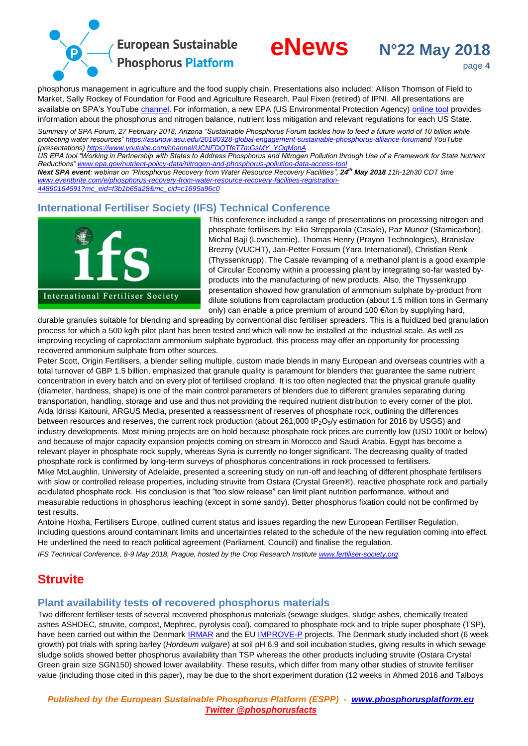

# **eNews N°22 May 2018**



page **4**

phosphorus management in agriculture and the food supply chain. Presentations also included: Allison Thomson of Field to Market, Sally Rockey of Foundation for Food and Agriculture Research, Paul Fixen (retired) of IPNI. All presentations are available on SPA's YouTube [channel.](https://www.youtube.com/channel/UCNFDQTfeT7mGsMY_YOgMonA) For information, a new EPA (US Environmental Protection Agency) [online tool](https://www.epa.gov/nutrient-policy-data/nitrogen-and-phosphorus-pollution-data-access-tool) provides information about the phosphorus and nitrogen balance, nutrient loss mitigation and relevant regulations for each US State.

*Summary of SPA Forum, 27 February 2018, Arizona "Sustainable Phosphorus Forum tackles how to feed a future world of 10 billion while protecting water resources[" https://asunow.asu.edu/20180328-global-engagement-sustainable-phosphorus-alliance-foruma](https://asunow.asu.edu/20180328-global-engagement-sustainable-phosphorus-alliance-forum)nd YouTube (presentations) [https://www.youtube.com/channel/UCNFDQTfeT7mGsMY\\_YOgMonA](https://www.youtube.com/channel/UCNFDQTfeT7mGsMY_YOgMonA)*

*US EPA tool "Working in Partnership with States to Address Phosphorus and Nitrogen Pollution through Use of a Framework for State Nutrient Reductions[" www.epa.gov/nutrient-policy-data/nitrogen-and-phosphorus-pollution-data-access-tool](https://www.epa.gov/nutrient-policy-data/nitrogen-and-phosphorus-pollution-data-access-tool)*

*Next SPA event: webinar on "Phosphorus Recovery from Water Resource Recovery Facilities", 24<sup>th</sup> May 2018 11h-12h30 CDT time [www.eventbrite.com/e/phosphorus-recovery-from-water-resource-recovery-facilities-registration-](https://www.eventbrite.com/e/phosphorus-recovery-from-water-resource-recovery-facilities-registration-44890164691?mc_eid=f3b1b65a28&mc_cid=c1695a96c0)*

<span id="page-3-0"></span>*[44890164691?mc\\_eid=f3b1b65a28&mc\\_cid=c1695a96c0](https://www.eventbrite.com/e/phosphorus-recovery-from-water-resource-recovery-facilities-registration-44890164691?mc_eid=f3b1b65a28&mc_cid=c1695a96c0)*

# **International Fertiliser Society (IFS) Technical Conference**



This conference included a range of presentations on processing nitrogen and phosphate fertilisers by: Elio Strepparola (Casale), Paz Munoz (Stamicarbon), Michal Baji (Lovochemie), Thomas Henry (Prayon Technologies), Branislav Brezny (VUCHT), Jan-Petter Fossum (Yara International), Christian Renk (Thyssenkrupp). The Casale revamping of a methanol plant is a good example of Circular Economy within a processing plant by integrating so-far wasted byproducts into the manufacturing of new products. Also, the Thyssenkrupp presentation showed how granulation of ammonium sulphate by-product from dilute solutions from caprolactam production (about 1.5 million tons in Germany only) can enable a price premium of around 100 €/ton by supplying hard,

durable granules suitable for blending and spreading by conventional disc fertiliser spreaders. This is a fluidized bed granulation process for which a 500 kg/h pilot plant has been tested and which will now be installed at the industrial scale. As well as improving recycling of caprolactam ammonium sulphate byproduct, this process may offer an opportunity for processing recovered ammonium sulphate from other sources.

Peter Scott, Origin Fertilisers, a blender selling multiple, custom made blends in many European and overseas countries with a total turnover of GBP 1.5 billion, emphasized that granule quality is paramount for blenders that guarantee the same nutrient concentration in every batch and on every plot of fertilised cropland. It is too often neglected that the physical granule quality (diameter, hardness, shape) is one of the main control parameters of blenders due to different granules separating during transportation, handling, storage and use and thus not providing the required nutrient distribution to every corner of the plot. Aida Idrissi Kaitouni, ARGUS Media, presented a reassessment of reserves of phosphate rock, outlining the differences between resources and reserves, the current rock production (about 261,000 tP<sub>2</sub>O<sub>5</sub>/y estimation for 2016 by USGS) and industry developments. Most mining projects are on hold because phosphate rock prices are currently low (USD 100/t or below) and because of major capacity expansion projects coming on stream in Morocco and Saudi Arabia. Egypt has become a relevant player in phosphate rock supply, whereas Syria is currently no longer significant. The decreasing quality of traded phosphate rock is confirmed by long-term surveys of phosphorus concentrations in rock processed to fertilisers. Mike McLaughlin, University of Adelaide, presented a screening study on run-off and leaching of different phosphate fertilisers with slow or controlled release properties, including struvite from Ostara (Crystal Green®), reactive phosphate rock and partially acidulated phosphate rock. His conclusion is that "too slow release" can limit plant nutrition performance, without and measurable reductions in phosphorus leaching (except in some sandy). Better phosphorus fixation could not be confirmed by test results.

Antoine Hoxha, Fertilisers Europe, outlined current status and issues regarding the new European Fertiliser Regulation, including questions around contaminant limits and uncertainties related to the schedule of the new regulation coming into effect. He underlined the need to reach political agreement (Parliament, Council) and finalise the regulation.

<span id="page-3-1"></span>*IFS Technical Conference, 8-9 May 2018, Prague, hosted by the Crop Research Institut[e www.fertiliser-society.org](http://fertiliser-society.org/)*

# **Struvite**

# <span id="page-3-2"></span>**Plant availability tests of recovered phosphorus materials**

Two different fertiliser tests of several recovered phosphorus materials (sewage sludges, sludge ashes, chemically treated ashes ASHDEC, struvite, compost, Mephrec, pyrolysis coal), compared to phosphate rock and to triple super phosphate (TSP), have been carried out within the Denmar[k IRMAR](http://www.irmar.dk/) and the E[U IMPROVE-P](https://improve-p.uni-hohenheim.de/en) projects. The Denmark study included short (6 week growth) pot trials with spring barley (*Hordeum vulgare*) at soil pH 6.9 and soil incubation studies, giving results in which sewage sludge solids showed better phosphorus availability than TSP whereas the other products including struvite (Ostara Crystal Green grain size SGN150) showed lower availability. These results, which differ from many other studies of struvite fertiliser value (including those cited in this paper), may be due to the short experiment duration (12 weeks in Ahmed 2016 and Talboys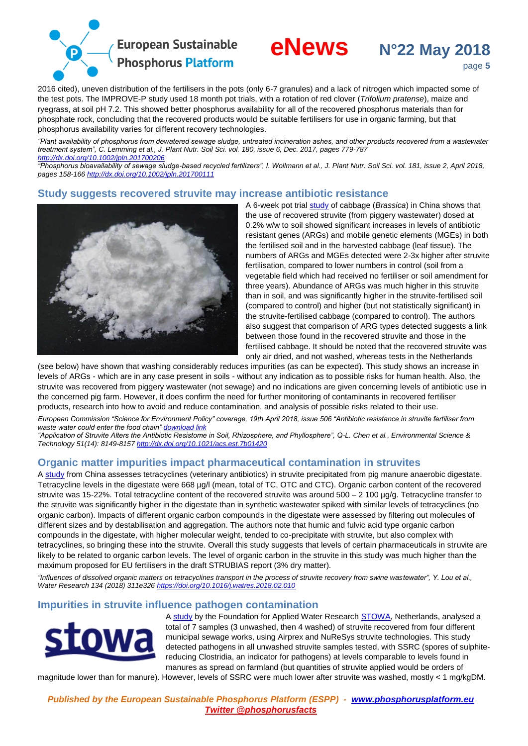



2016 cited), uneven distribution of the fertilisers in the pots (only 6-7 granules) and a lack of nitrogen which impacted some of the test pots. The IMPROVE-P study used 18 month pot trials, with a rotation of red clover (*Trifolium pratense*), maize and ryegrass, at soil pH 7.2. This showed better phosphorus availability for all of the recovered phosphorus materials than for phosphate rock, concluding that the recovered products would be suitable fertilisers for use in organic farming, but that phosphorus availability varies for different recovery technologies.

*"Plant availability of phosphorus from dewatered sewage sludge, untreated incineration ashes, and other products recovered from a wastewater treatment system", C. Lemming et al., J. Plant Nutr. Soil Sci. vol. 180, issue 6, Dec. 2017, pages 779-787 <http://dx.doi.org/10.1002/jpln.201700206>*

*"Phosphorus bioavailability of sewage sludge-based recycled fertilizers", I. Wollmann et al., J. Plant Nutr. Soil Sci. vol. 181, issue 2, April 2018, pages 158-166 <http://dx.doi.org/10.1002/jpln.201700111>*

# <span id="page-4-0"></span>**Study suggests recovered struvite may increase antibiotic resistance**



A 6-week pot trial [study](http://dx.doi.org/10.1021/acs.est.7b01420) of cabbage (*Brassica*) in China shows that the use of recovered struvite (from piggery wastewater) dosed at 0.2% w/w to soil showed significant increases in levels of antibiotic resistant genes (ARGs) and mobile genetic elements (MGEs) in both the fertilised soil and in the harvested cabbage (leaf tissue). The numbers of ARGs and MGEs detected were 2-3x higher after struvite fertilisation, compared to lower numbers in control (soil from a vegetable field which had received no fertiliser or soil amendment for three years). Abundance of ARGs was much higher in this struvite than in soil, and was significantly higher in the struvite-fertilised soil (compared to control) and higher (but not statistically significant) in the struvite-fertilised cabbage (compared to control). The authors also suggest that comparison of ARG types detected suggests a link between those found in the recovered struvite and those in the fertilised cabbage. It should be noted that the recovered struvite was only air dried, and not washed, whereas tests in the Netherlands

(see below) have shown that washing considerably reduces impurities (as can be expected). This study shows an increase in levels of ARGs - which are in any case present in soils - without any indication as to possible risks for human health. Also, the struvite was recovered from piggery wastewater (not sewage) and no indications are given concerning levels of antibiotic use in the concerned pig farm. However, it does confirm the need for further monitoring of contaminants in recovered fertiliser products, research into how to avoid and reduce contamination, and analysis of possible risks related to their use.

*European Commission "Science for Environment Policy" coverage, 19th April 2018, issue 506 "Antibiotic resistance in struvite fertiliser from waste water could enter the food chain[" download link](http://ec.europa.eu/environment/integration/research/newsalert/pdf/antibiotic_resistance_struvite_fertiliser_wastewater_could_enter_food_chain_506na1_en.pdf)*

*"Application of Struvite Alters the Antibiotic Resistome in Soil, Rhizosphere, and Phyllosphere", Q-L. Chen et al., Environmental Science & Technology 51(14): 8149-8157 <http://dx.doi.org/10.1021/acs.est.7b01420>*

# <span id="page-4-1"></span>**Organic matter impurities impact pharmaceutical contamination in struvites**

A [study](https://doi.org/10.1016/j.watres.2018.02.010) from China assesses tetracyclines (veterinary antibiotics) in struvite precipitated from pig manure anaerobic digestate. Tetracycline levels in the digestate were 668 µg/l (mean, total of TC, OTC and CTC). Organic carbon content of the recovered struvite was 15-22%. Total tetracycline content of the recovered struvite was around 500 – 2 100 µg/g. Tetracycline transfer to the struvite was significantly higher in the digestate than in synthetic wastewater spiked with similar levels of tetracyclines (no organic carbon). Impacts of different organic carbon compounds in the digestate were assessed by filtering out molecules of different sizes and by destabilisation and aggregation. The authors note that humic and fulvic acid type organic carbon compounds in the digestate, with higher molecular weight, tended to co-precipitate with struvite, but also complex with tetracyclines, so bringing these into the struvite. Overall this study suggests that levels of certain pharmaceuticals in struvite are likely to be related to organic carbon levels. The level of organic carbon in the struvite in this study was much higher than the maximum proposed for EU fertilisers in the draft STRUBIAS report (3% dry matter).

*"Influences of dissolved organic matters on tetracyclines transport in the process of struvite recovery from swine wastewater", Y. Lou et al., Water Research 134 (2018) 311e326 <https://doi.org/10.1016/j.watres.2018.02.010>*

# <span id="page-4-2"></span>**Impurities in struvite influence pathogen contamination**



A [study](http://www.stowa.nl/publicaties/publicaties/verkenning_van_de_kwaliteit_van_struviet_uit_de_communale_afvalwaterketen) by the Foundation for Applied Water Research [STOWA,](http://www.stowa.nl/foundation_for_applied_water_research_stowa/) Netherlands, analysed a total of 7 samples (3 unwashed, then 4 washed) of struvite recovered from four different municipal sewage works, using Airprex and NuReSys struvite technologies. This study detected pathogens in all unwashed struvite samples tested, with SSRC (spores of sulphitereducing Clostridia, an indicator for pathogens) at levels comparable to levels found in manures as spread on farmland (but quantities of struvite applied would be orders of

magnitude lower than for manure). However, levels of SSRC were much lower after struvite was washed, mostly < 1 mg/kgDM.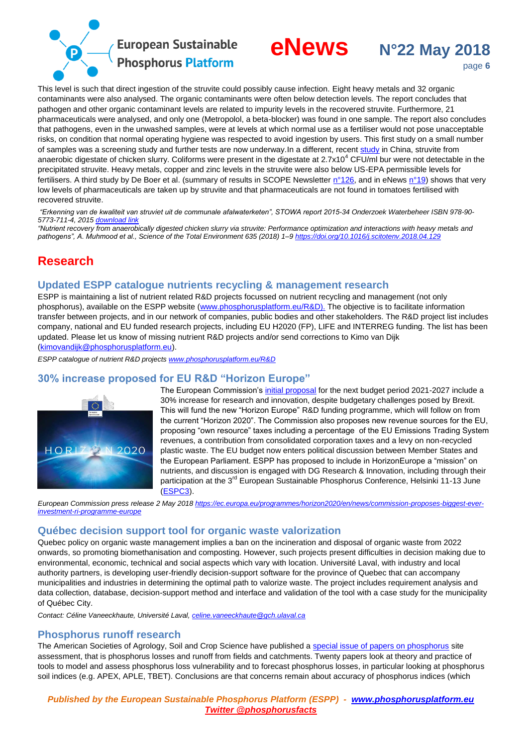



This level is such that direct ingestion of the struvite could possibly cause infection. Eight heavy metals and 32 organic contaminants were also analysed. The organic contaminants were often below detection levels. The report concludes that pathogen and other organic contaminant levels are related to impurity levels in the recovered struvite. Furthermore, 21 pharmaceuticals were analysed, and only one (Metropolol, a beta-blocker) was found in one sample. The report also concludes that pathogens, even in the unwashed samples, were at levels at which normal use as a fertiliser would not pose unacceptable risks, on condition that normal operating hygiene was respected to avoid ingestion by users. This first study on a small number of samples was a screening study and further tests are now underway.In a different, recent [study](https://doi.org/10.1016/j.scitotenv.2018.04.129) in China, struvite from anaerobic digestate of chicken slurry. Coliforms were present in the digestate at  $2.7x10<sup>4</sup>$  CFU/ml bur were not detectable in the precipitated struvite. Heavy metals, copper and zinc levels in the struvite were also below US-EPA permissible levels for fertilisers. A third study by De Boer et al. (summary of results in SCOPE Newsletter  $n^{\circ}126$ , and in eNews  $n^{\circ}19$ ) shows that very low levels of pharmaceuticals are taken up by struvite and that pharmaceuticals are not found in tomatoes fertilised with recovered struvite.

*"Erkenning van de kwaliteit van struviet uit de communale afalwaterketen", STOWA report 2015-34 Onderzoek Waterbeheer ISBN 978-90- 5773-711-4, 2015 [download link](http://www.stowa.nl/publicaties/publicaties/verkenning_van_de_kwaliteit_van_struviet_uit_de_communale_afvalwaterketen)*

*"Nutrient recovery from anaerobically digested chicken slurry via struvite: Performance optimization and interactions with heavy metals and pathogens", A. Muhmood et al., Science of the Total Environment 635 (2018) 1–9 <https://doi.org/10.1016/j.scitotenv.2018.04.129>*

# <span id="page-5-0"></span>**Research**

# <span id="page-5-1"></span>**Updated ESPP catalogue nutrients recycling & management research**

ESPP is maintaining a list of nutrient related R&D projects focussed on nutrient recycling and management (not only phosphorus), available on the ESPP website [\(www.phosphorusplatform.eu/R&D\).](http://www.phosphorusplatform.eu/R&D) The objective is to facilitate information transfer between projects, and in our network of companies, public bodies and other stakeholders. The R&D project list includes company, national and EU funded research projects, including EU H2020 (FP), LIFE and INTERREG funding. The list has been updated. Please let us know of missing nutrient R&D projects and/or send corrections to Kimo van Dijk [\(kimovandijk@phosphorusplatform.eu\)](mailto:kimovandijk@phosphorusplatform.eu?subject=input%20ESPP%20catalogue%20of%20nutrient%20recycling%20and%20stewardship%20projects).

*ESPP catalogue of nutrient R&D projects [www.phosphorusplatform.eu/R&D](http://www.phosphorusplatform.eu/R&D)*

# <span id="page-5-2"></span>**30% increase proposed for EU R&D "Horizon Europe"**



The European Commission's [initial proposal](https://ec.europa.eu/programmes/horizon2020/en/news/commission-proposes-biggest-ever-investment-ri-programme-europe) for the next budget period 2021-2027 include a 30% increase for research and innovation, despite budgetary challenges posed by Brexit. This will fund the new "Horizon Europe" R&D funding programme, which will follow on from the current "Horizon 2020". The Commission also proposes new revenue sources for the EU, proposing "own resource" taxes including a percentage of the EU Emissions Trading System revenues, a contribution from consolidated corporation taxes and a levy on non-recycled plastic waste. The EU budget now enters political discussion between Member States and the European Parliament. ESPP has proposed to include in HorizonEurope a "mission" on nutrients, and discussion is engaged with DG Research & Innovation, including through their participation at the 3<sup>rd</sup> European Sustainable Phosphorus Conference, Helsinki 11-13 June [\(ESPC3\)](http://www.phosphorusplatform.eu/espc3).

*European Commission press release 2 May 2018 [https://ec.europa.eu/programmes/horizon2020/en/news/commission-proposes-biggest-ever](https://ec.europa.eu/programmes/horizon2020/en/news/commission-proposes-biggest-ever-investment-ri-programme-europe)[investment-ri-programme-europe](https://ec.europa.eu/programmes/horizon2020/en/news/commission-proposes-biggest-ever-investment-ri-programme-europe)*

# <span id="page-5-3"></span>**Québec decision support tool for organic waste valorization**

Quebec policy on organic waste management implies a ban on the incineration and disposal of organic waste from 2022 onwards, so promoting biomethanisation and composting. However, such projects present difficulties in decision making due to environmental, economic, technical and social aspects which vary with location. Université Laval, with industry and local authority partners, is developing user-friendly decision-support software for the province of Quebec that can accompany municipalities and industries in determining the optimal path to valorize waste. The project includes requirement analysis and data collection, database, decision-support method and interface and validation of the tool with a case study for the municipality of Québec City.

<span id="page-5-4"></span>*Contact: Céline Vaneeckhaute, Université Laval[, celine.vaneeckhaute@gch.ulaval.ca](mailto:celine.vaneeckhaute@gch.ulaval.ca)*

# **Phosphorus runoff research**

The American Societies of Agrology, Soil and Crop Science have published [a special issue of papers on phosphorus](https://dl.sciencesocieties.org/publications/jeq/tocs/46/6#h2-SPECIAL%20SECTION:%20THE%20EVOLVING%20SCIENCE%20OF%20PHOSPHORUS%20SITE%20ASSESSMENT) site assessment, that is phosphorus losses and runoff from fields and catchments. Twenty papers look at theory and practice of tools to model and assess phosphorus loss vulnerability and to forecast phosphorus losses, in particular looking at phosphorus soil indices (e.g. APEX, APLE, TBET). Conclusions are that concerns remain about accuracy of phosphorus indices (which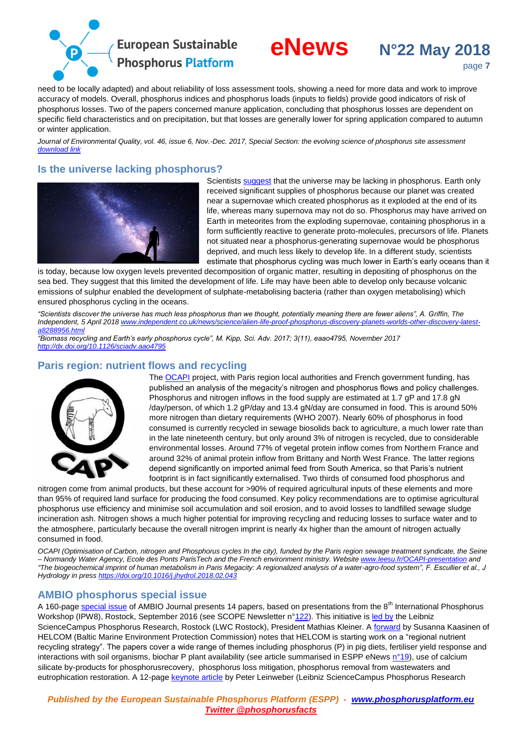



need to be locally adapted) and about reliability of loss assessment tools, showing a need for more data and work to improve accuracy of models. Overall, phosphorus indices and phosphorus loads (inputs to fields) provide good indicators of risk of phosphorus losses. Two of the papers concerned manure application, concluding that phosphorus losses are dependent on specific field characteristics and on precipitation, but that losses are generally lower for spring application compared to autumn or winter application.

*Journal of Environmental Quality, vol. 46, issue 6, Nov.-Dec. 2017, Special Section: the evolving science of phosphorus site assessment [download link](https://dl.sciencesocieties.org/publications/jeq/tocs/46/6#h2-SPECIAL%20SECTION:%20THE%20EVOLVING%20SCIENCE%20OF%20PHOSPHORUS%20SITE%20ASSESSMENT)*

# <span id="page-6-0"></span>**Is the universe lacking phosphorus?**



Scientists [suggest](https://www.independent.co.uk/news/science/alien-life-proof-phosphorus-discovery-planets-worlds-other-discovery-latest-a8288956.html) that the universe may be lacking in phosphorus. Earth only received significant supplies of phosphorus because our planet was created near a supernovae which created phosphorus as it exploded at the end of its life, whereas many supernova may not do so. Phosphorus may have arrived on Earth in meteorites from the exploding supernovae, containing phosphorus in a form sufficiently reactive to generate proto-molecules, precursors of life. Planets not situated near a phosphorus-generating supernovae would be phosphorus deprived, and much less likely to develop life. In a different study, scientists estimate that phosphorus cycling was much lower in Earth's early oceans than it

is today, because low oxygen levels prevented decomposition of organic matter, resulting in depositing of phosphorus on the sea bed. They suggest that this limited the development of life. Life may have been able to develop only because volcanic emissions of sulphur enabled the development of sulphate-metabolising bacteria (rather than oxygen metabolising) which ensured phosphorus cycling in the oceans.

*"Scientists discover the universe has much less phosphorus than we thought, potentially meaning there are fewer aliens", A. Griffin, The Independent, 5 April 201[8 www.independent.co.uk/news/science/alien-life-proof-phosphorus-discovery-planets-worlds-other-discovery-latest](https://www.independent.co.uk/news/science/alien-life-proof-phosphorus-discovery-planets-worlds-other-discovery-latest-a8288956.html)[a8288956.html](https://www.independent.co.uk/news/science/alien-life-proof-phosphorus-discovery-planets-worlds-other-discovery-latest-a8288956.html)*

*"Biomass recycling and Earth's early phosphorus cycle", M. Kipp, Sci. Adv. 2017; 3(11), eaao4795, November 2017 <http://dx.doi.org/10.1126/sciadv.aao4795>*

# <span id="page-6-1"></span>**Paris region: nutrient flows and recycling**



The [OCAPI](http://www.leesu.fr/OCAPI-presentation) project, with Paris region local authorities and French government funding, has published an analysis of the megacity's nitrogen and phosphorus flows and policy challenges. Phosphorus and nitrogen inflows in the food supply are estimated at 1.7 qP and 17.8 gN /day/person, of which 1.2 gP/day and 13.4 gN/day are consumed in food. This is around 50% more nitrogen than dietary requirements (WHO 2007). Nearly 60% of phosphorus in food consumed is currently recycled in sewage biosolids back to agriculture, a much lower rate than in the late nineteenth century, but only around 3% of nitrogen is recycled, due to considerable environmental losses. Around 77% of vegetal protein inflow comes from Northern France and around 32% of animal protein inflow from Brittany and North West France. The latter regions depend significantly on imported animal feed from South America, so that Paris's nutrient footprint is in fact significantly externalised. Two thirds of consumed food phosphorus and

nitrogen come from animal products, but these account for >90% of required agricultural inputs of these elements and more than 95% of required land surface for producing the food consumed. Key policy recommendations are to optimise agricultural phosphorus use efficiency and minimise soil accumulation and soil erosion, and to avoid losses to landfilled sewage sludge incineration ash. Nitrogen shows a much higher potential for improving recycling and reducing losses to surface water and to the atmosphere, particularly because the overall nitrogen imprint is nearly 4x higher than the amount of nitrogen actually consumed in food.

*OCAPI (Optimisation of Carbon, nitrogen and Phosphorus cycles In the city), funded by the Paris region sewage treatment syndicate, the Seine – Normandy Water Agency, Ecole des Ponts ParisTech and the French environment ministry. Website [www.leesu.fr/OCAPI-presentation](https://www.leesu.fr/OCAPI-presentation) and "The biogeochemical imprint of human metabolism in Paris Megacity: A regionalized analysis of a water-agro-food system", F. Escullier et al., J Hydrology in press<https://doi.org/10.1016/j.jhydrol.2018.02.043>*

# <span id="page-6-2"></span>**AMBIO phosphorus special issue**

A 160-pag[e special issue](https://link.springer.com/journal/13280/47/1/suppl/page/1) of AMBIO Journal presents 14 papers, based on presentations from the 8<sup>th</sup> International Phosphorus Workshop (IPW8), Rostock, September 2016 (see SCOPE Newsletter n[°122\)](http://www.phosphorusplatform.eu/scope122). This initiative is [led by](https://link.springer.com/content/pdf/10.1007%2Fs13280-017-0967-x.pdf) the Leibniz ScienceCampus Phosphorus Research, Rostock (LWC Rostock), President Mathias Kleiner. [A forward](https://link.springer.com/content/pdf/10.1007%2Fs13280-017-0967-x.pdf) by Susanna Kaasinen of HELCOM (Baltic Marine Environment Protection Commission) notes that HELCOM is starting work on a "regional nutrient recycling strategy". The papers cover a wide range of themes including phosphorus (P) in pig diets, fertiliser yield response and interactions with soil organisms, biochar P plant availability (see article summarised in ESPP eNew[s n°19\)](http://www.phosphorusplatform.eu/eNews19), use of calcium silicate by-products for phosphorusrecovery, phosphorus loss mitigation, phosphorus removal from wastewaters and eutrophication restoration. A 12-page [keynote article](https://link.springer.com/content/pdf/10.1007%2Fs13280-017-0968-9.pdf) by Peter Leinweber (Leibniz ScienceCampus Phosphorus Research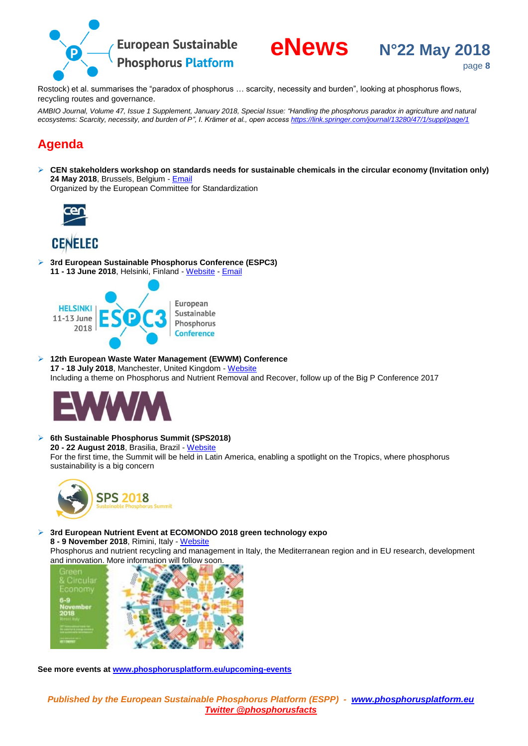

Rostock) et al. summarises the "paradox of phosphorus … scarcity, necessity and burden", looking at phosphorus flows, recycling routes and governance.

*AMBIO Journal, Volume 47, Issue 1 Supplement, January 2018, Special Issue: "Handling the phosphorus paradox in agriculture and natural*  ecosystems: Scarcity, necessity, and burden of P", I. Krämer et al., open access *<https://link.springer.com/journal/13280/47/1/suppl/page/1>* 

# <span id="page-7-0"></span>**Agenda**

 **CEN stakeholders workshop on standards needs for sustainable chemicals in the circular economy (Invitation only) 24 May 2018**, Brussels, Belgium - [Email](mailto:info@phosphorusplatform.eu?subject=CEN%20stakeholders%20workshop%20on%20standards%20needs%20for%20sustainable%20chemicals%20in%20the%20circular%20economy)

Organized by the European Committee for Standardization



# **CENELEC**

 **3rd European Sustainable Phosphorus Conference (ESPC3) 11 - 13 June 2018**, Helsinki, Finland - [Website](http://www.phosphorusplatform.eu/ESPC3) - [Email](mailto:info@phosphorusplatform.eu?subject=ESPC3%20conference)



 **12th European Waste Water Management (EWWM) Conference 17 - 18 July 2018**, Manchester, United Kingdom - [Website](http://www.ewwmconference.com/) [Including a theme](http://ewwmconference.com/) on Phosphorus and Nutrient Removal and Recover, follow up of the Big P Conference 2017



 **6th Sustainable Phosphorus Summit (SPS2018) 20 - 22 August 2018**, Brasilia, Brazil - [Website](http://www.sps2018.com.br/) For the first time, the Summit will be held in Latin America, enabling a spotlight on the Tropics, where phosphorus sustainability is a big concern



 **3rd European Nutrient Event at ECOMONDO 2018 green technology expo 8 - 9 November 2018**, Rimini, Italy - [Website](http://www.smart-plant.eu/ENE3)

Phosphorus and nutrient recycling and management in Italy, the Mediterranean region and in EU research, development [and innovation. More information will follow soon.](http://www.smart-plant.eu/ENE3)



**See more events at [www.phosphorusplatform.eu/upcoming-events](http://www.phosphorusplatform.eu/upcoming-events)**